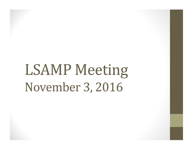# LSAMP Meeting November 3, 2016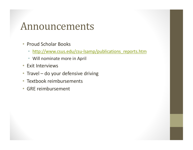### Announcements

- Proud Scholar Books
	- http://www.csus.edu/csu-lsamp/publications\_reports.htm
	- Will nominate more in April
- Exit Interviews
- Travel  $-$  do your defensive driving
- Textbook reimbursements
- GRE reimbursement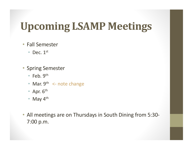# **Upcoming LSAMP Meetings**

#### • Fall Semester

- Dec.  $1<sup>st</sup>$
- Spring Semester
	- Feb.  $9<sup>th</sup>$
	- Mar.  $9^{th} <$  note change
	- Apr.  $6<sup>th</sup>$
	- May  $4^{\text{th}}$
- All meetings are on Thursdays in South Dining from 5:30-7:00 p.m.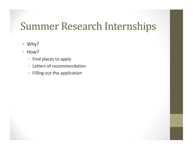# Summer Research Internships

- Why?
- How?
	- Find places to apply
	- Letters of recommendation
	- Filling out the application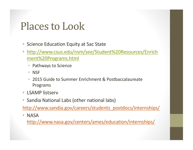# Places to Look

- Science Education Equity at Sac State
- http://www.csus.edu/nsm/see/Student%20Resources/Enrich ment%20Programs.html
	- Pathways to Science
	- NSF
	- 2015 Guide to Summer Enrichment & Postbaccalaureate Programs
- LSAMP listserv
- Sandia National Labs (other national labs)

http://www.sandia.gov/careers/students\_postdocs/internships/

• NASA 

http://www.nasa.gov/centers/ames/education/internships/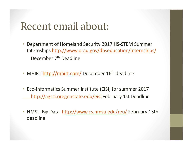## Recent email about:

- Department of Homeland Security 2017 HS-STEM Summer Internships http://www.orau.gov/dhseducation/internships/ December 7<sup>th</sup> Deadline
- MHIRT http://mhirt.com/ December 16<sup>th</sup> deadline
- Eco-Informatics Summer Institute (EISI) for summer 2017 http://agsci.oregonstate.edu/eisi February 1st Deadline
- NMSU Big Data http://www.cs.nmsu.edu/reu/ February 15th deadline